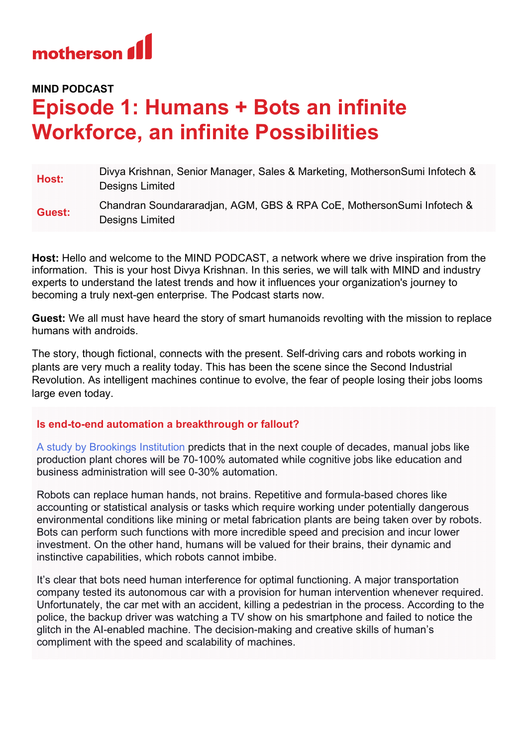

## **MIND PODCAST**

## **Episode 1: Humans + Bots an infinite Workforce, an infinite Possibilities**

| Host:  | Divya Krishnan, Senior Manager, Sales & Marketing, MothersonSumi Infotech &<br>Designs Limited |
|--------|------------------------------------------------------------------------------------------------|
| Guest: | Chandran Soundararadjan, AGM, GBS & RPA CoE, MothersonSumi Infotech &<br>Designs Limited       |

**Host:** Hello and welcome to the MIND PODCAST, a network where we drive inspiration from the information. This is your host Divya Krishnan. In this series, we will talk with MIND and industry experts to understand the latest trends and how it influences your organization's journey to becoming a truly next-gen enterprise. The Podcast starts now.

**Guest:** We all must have heard the story of smart humanoids revolting with the mission to replace humans with androids.

The story, though fictional, connects with the present. Self-driving cars and robots working in plants are very much a reality today. This has been the scene since the Second Industrial Revolution. As intelligent machines continue to evolve, the fear of people losing their jobs looms large even today.

## **Is end-to-end automation a breakthrough or fallout?**

[A study by Brookings Institution](https://www.brookings.edu/research/automation-and-artificial-intelligence-how-machines-affect-people-and-places/) predicts that in the next couple of decades, manual jobs like production plant chores will be 70-100% automated while cognitive jobs like education and business administration will see 0-30% automation.

Robots can replace human hands, not brains. Repetitive and formula-based chores like accounting or statistical analysis or tasks which require working under potentially dangerous environmental conditions like mining or metal fabrication plants are being taken over by robots. Bots can perform such functions with more incredible speed and precision and incur lower investment. On the other hand, humans will be valued for their brains, their dynamic and instinctive capabilities, which robots cannot imbibe.

It's clear that bots need human interference for optimal functioning. A major transportation company tested its autonomous car with a provision for human intervention whenever required. Unfortunately, the car met with an accident, killing a pedestrian in the process. According to the police, the backup driver was watching a TV show on his smartphone and failed to notice the glitch in the AI-enabled machine. The decision-making and creative skills of human's compliment with the speed and scalability of machines.